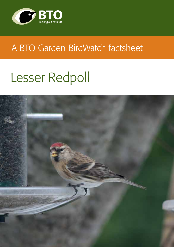

# A BTO Garden BirdWatch factsheet

# Lesser Redpoll

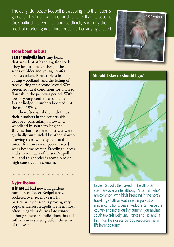The delightful Lesser Redpoll is sweeping into the nation's gardens. This finch, which is much smaller than its cousins the Chaffinch, Greenfinch and Goldfinch, is making the most of modern garden bird foods, particularly nyjer seed.



#### From boom to bust

Lesser Redpolls have tiny beaks that are adept at handling fine seeds. They favour birch, although the seeds of Alder and young conifers are also taken. Birch thrives in young woodland, and the felling of trees during the Second World War presented ideal conditions for birch to flourish in the post-war period. With lots of young conifers also planted, Lesser Redpoll numbers boomed until the mid-1970s.

Thereafter, until the mid-1990s their numbers in the countryside dropped, particularly in lowland woodland in southern England. Birches that prospered post-war were gradually outmuscled by other, slowergrowing trees, while agricultural intensification saw important weed seeds become scarcer. Breeding success and survival rates of Lesser Redpoll fell, and this species is now a bird of high conservation concern.

#### Nyjer-lissima!

It is not all bad news. In gardens, numbers of Lesser Redpolls have rocketed over recent years. In particular, nyjer seed is proving very popular. Lesser Redpolls are seen most often in gardens during late winter, although there are indications that this influx is now starting before the turn of the year.



Lesser Redpolls that breed in the UK often stay here over winter although 'internal flights' are common, with birds breeding in the north travelling south or south east in pursuit of milder conditions. Lesser Redpolls can leave the country altogether during autumn, journeying south towards Belgium, France and Holland, if high numbers or scarce food resources make life here too tough.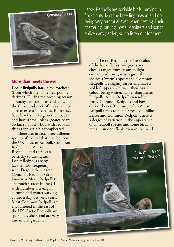

More than meets the eye

Lesser Redpolls have a red forehead (from which the name 'red-poll' is derived). During the breeding season, a peachy-red colour extends down the throat and neck of males, and to a lesser extent in females. Both sexes have black streaking on their backs and have a small black 'goatee beard'. So far, so good – but, with redpolls, things can get a bit complicated.

There are, in fact, three different species of redpoll that may be seen in the UK – Lesser Redpoll, Common

Redpoll and Arctic Redpoll – and these can be tricky to distinguish. Lesser Redpolls are by far the most frequently seen. Despite their name, Common Redpolls (also known as Mealy Redpolls) are much scarcer in the UK, with numbers arriving in autumn and winter varying considerably between years. Most Common Redpolls are encountered in the east of the UK. Arctic Redpolls are sporadic visitors and are very rare in UK gardens.

Lesser Redpolls are sociable birds, moving in flocks outside of the breeding season and not being very territorial even when nesting. Their chattering, rattling, metallic twitters and songs enliven any garden, so do listen out for them.

In Lesser Redpolls the 'base colour' of the back, flanks, wing-bars and cheeks ranges from cream to light cinnamon-brown, which gives this species a 'warm' appearance. Common Redpolls are slightly larger and have a 'colder' appearance, with their basecolour being whiter. Larger than Lesser Redpolls, Arctic Redpolls resemble frosty Common Redpolls and have dinkier beaks. The rump of an Arctic Redpoll tends to be un-streaked, unlike Lesser and Common Redpoll. There is a degree of variation in the appearance of all redpoll species and some birds remain unidentifiable even in the hand.



Images by Mike Gough and Mike Toms. Map from *Time to Fly* by Jim Flegg, published by BTO.